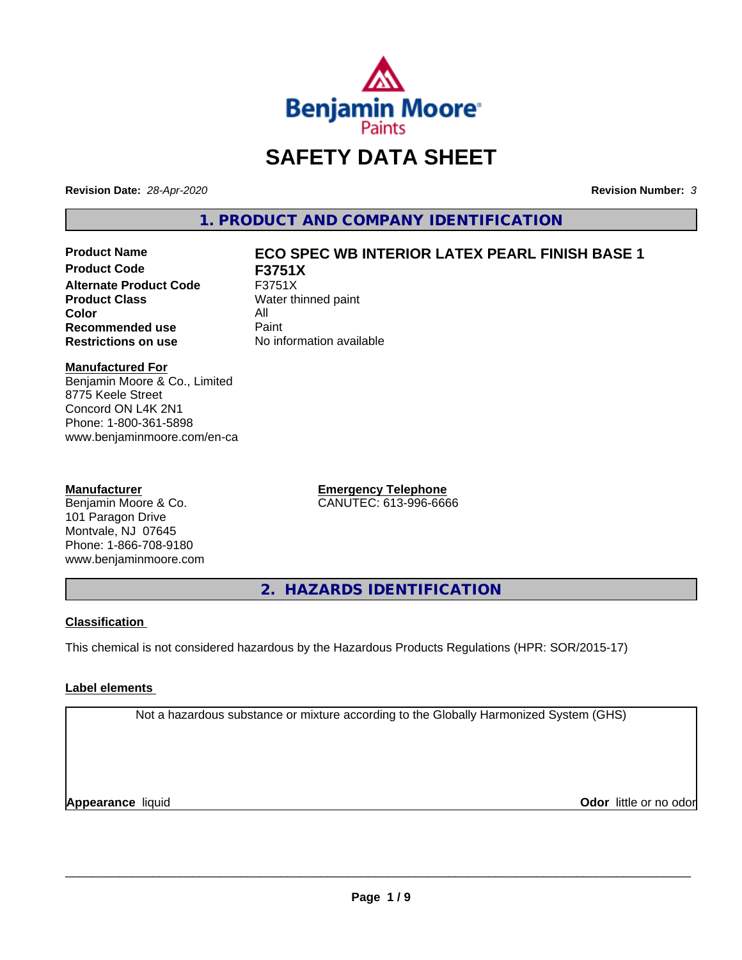

## **SAFETY DATA SHEET**

**Revision Date:** *28-Apr-2020* **Revision Number:** *3*

**1. PRODUCT AND COMPANY IDENTIFICATION**

**Product Code F3751X Alternate Product Code** F3751X<br>**Product Class** Water th **Color** All<br> **Recommended use** Paint **Recommended use**<br>Restrictions on use

# **Product Name ECO SPEC WB INTERIOR LATEX PEARL FINISH BASE 1**

**Water thinned paint Restrictions on use** No information available

#### **Manufactured For**

Benjamin Moore & Co., Limited 8775 Keele Street Concord ON L4K 2N1 Phone: 1-800-361-5898 www.benjaminmoore.com/en-ca

#### **Manufacturer**

Benjamin Moore & Co. 101 Paragon Drive Montvale, NJ 07645 Phone: 1-866-708-9180 www.benjaminmoore.com **Emergency Telephone** CANUTEC: 613-996-6666

**2. HAZARDS IDENTIFICATION**

#### **Classification**

This chemical is not considered hazardous by the Hazardous Products Regulations (HPR: SOR/2015-17)

#### **Label elements**

Not a hazardous substance or mixture according to the Globally Harmonized System (GHS)

**Appearance** liquid **CODO** *Appearance liquid* **Odor** *CODO CODO* **<b>***CODO CODO CODO CODO CODO*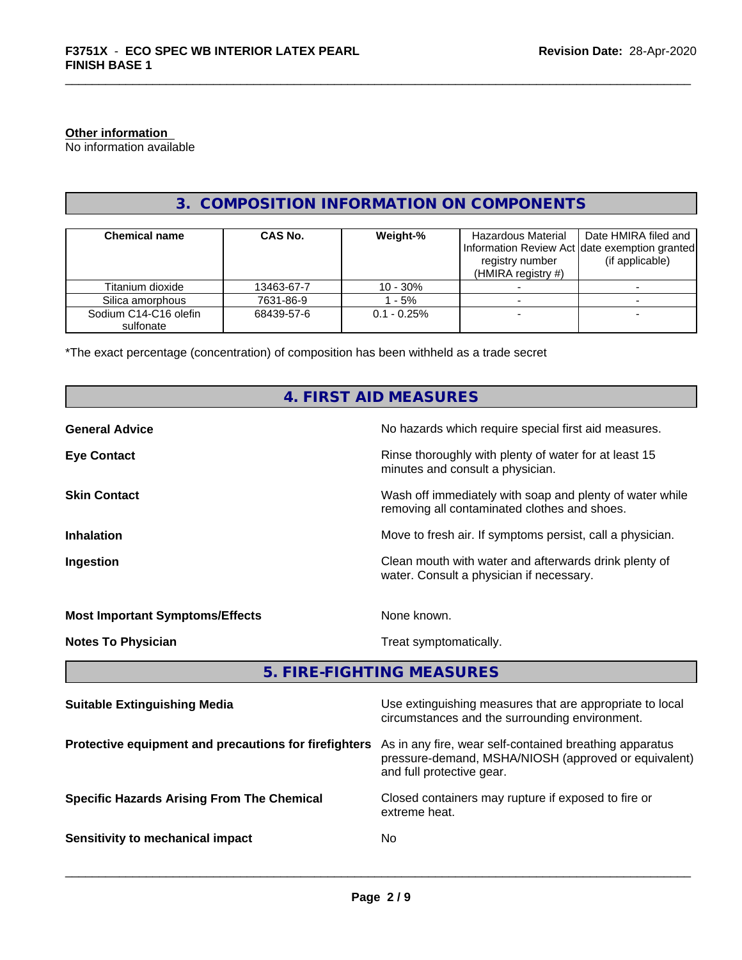#### **Other information**

No information available

### **3. COMPOSITION INFORMATION ON COMPONENTS**

| <b>Chemical name</b>               | CAS No.    | Weight-%       | Hazardous Material<br>registry number<br>(HMIRA registry $#$ ) | Date HMIRA filed and<br>Information Review Act Idate exemption granted<br>(if applicable) |
|------------------------------------|------------|----------------|----------------------------------------------------------------|-------------------------------------------------------------------------------------------|
| Titanium dioxide                   | 13463-67-7 | $10 - 30%$     |                                                                |                                                                                           |
| Silica amorphous                   | 7631-86-9  | - 5%           |                                                                |                                                                                           |
| Sodium C14-C16 olefin<br>sulfonate | 68439-57-6 | $0.1 - 0.25\%$ |                                                                |                                                                                           |

\*The exact percentage (concentration) of composition has been withheld as a trade secret

## **4. FIRST AID MEASURES**

| <b>General Advice</b>                  | No hazards which require special first aid measures.                                                     |
|----------------------------------------|----------------------------------------------------------------------------------------------------------|
| <b>Eye Contact</b>                     | Rinse thoroughly with plenty of water for at least 15<br>minutes and consult a physician.                |
| <b>Skin Contact</b>                    | Wash off immediately with soap and plenty of water while<br>removing all contaminated clothes and shoes. |
| <b>Inhalation</b>                      | Move to fresh air. If symptoms persist, call a physician.                                                |
| Ingestion                              | Clean mouth with water and afterwards drink plenty of<br>water. Consult a physician if necessary.        |
| <b>Most Important Symptoms/Effects</b> | None known.                                                                                              |
| <b>Notes To Physician</b>              | Treat symptomatically.                                                                                   |

**5. FIRE-FIGHTING MEASURES**

| <b>Suitable Extinguishing Media</b>                   | Use extinguishing measures that are appropriate to local<br>circumstances and the surrounding environment.                                   |
|-------------------------------------------------------|----------------------------------------------------------------------------------------------------------------------------------------------|
| Protective equipment and precautions for firefighters | As in any fire, wear self-contained breathing apparatus<br>pressure-demand, MSHA/NIOSH (approved or equivalent)<br>and full protective gear. |
| <b>Specific Hazards Arising From The Chemical</b>     | Closed containers may rupture if exposed to fire or<br>extreme heat.                                                                         |
| Sensitivity to mechanical impact                      | No.                                                                                                                                          |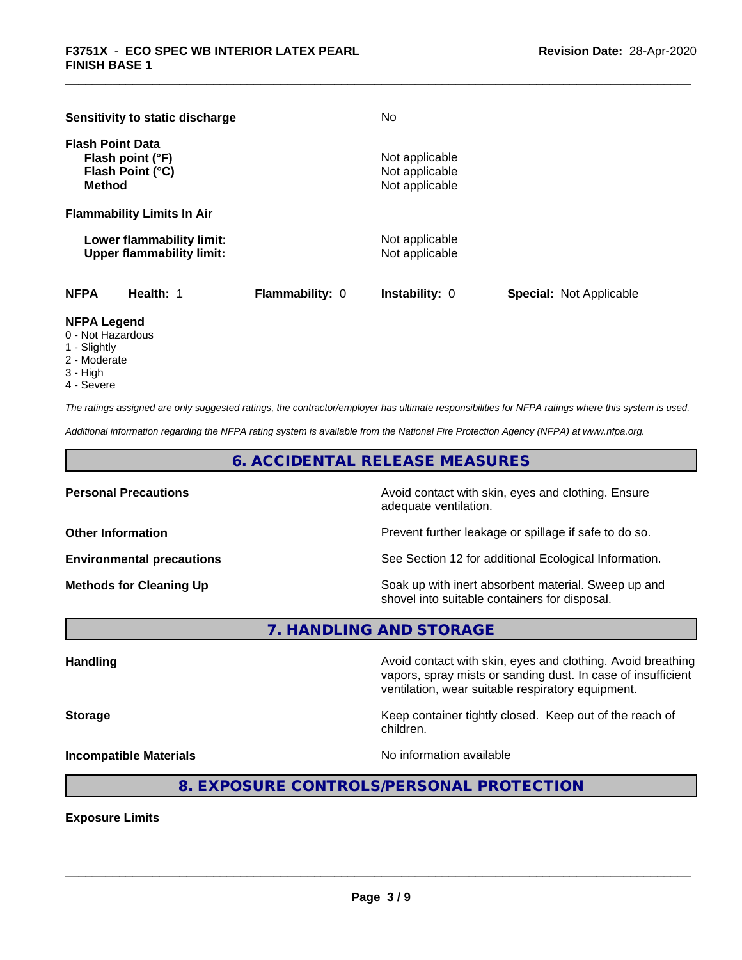| Sensitivity to static discharge                                                  |                        | No                                                 |                                |
|----------------------------------------------------------------------------------|------------------------|----------------------------------------------------|--------------------------------|
| <b>Flash Point Data</b><br>Flash point (°F)<br>Flash Point (°C)<br><b>Method</b> |                        | Not applicable<br>Not applicable<br>Not applicable |                                |
| <b>Flammability Limits In Air</b>                                                |                        |                                                    |                                |
| Lower flammability limit:<br><b>Upper flammability limit:</b>                    |                        | Not applicable<br>Not applicable                   |                                |
| <b>NFPA</b><br>Health: 1                                                         | <b>Flammability: 0</b> | <b>Instability: 0</b>                              | <b>Special: Not Applicable</b> |

#### **NFPA Legend**

- 0 Not Hazardous
- 1 Slightly
- 2 Moderate
- 3 High
- 4 Severe

*The ratings assigned are only suggested ratings, the contractor/employer has ultimate responsibilities for NFPA ratings where this system is used.*

*Additional information regarding the NFPA rating system is available from the National Fire Protection Agency (NFPA) at www.nfpa.org.*

**6. ACCIDENTAL RELEASE MEASURES**

**Personal Precautions Avoid contact with skin, eyes and clothing. Ensure** Avoid contact with skin, eyes and clothing. Ensure adequate ventilation.

**Other Information Discription Prevent further leakage or spillage if safe to do so.** 

**Environmental precautions** See Section 12 for additional Ecological Information.

**Methods for Cleaning Up Example 20 Soak** up with inert absorbent material. Sweep up and shovel into suitable containers for disposal.

**7. HANDLING AND STORAGE**

**Handling Handling Avoid contact with skin, eyes and clothing. Avoid breathing** vapors, spray mists or sanding dust. In case of insufficient ventilation, wear suitable respiratory equipment.

**Storage** Keep container tightly closed. Keep out of the reach of

**Incompatible Materials No information available No** information available

 $\overline{\phantom{a}}$  ,  $\overline{\phantom{a}}$  ,  $\overline{\phantom{a}}$  ,  $\overline{\phantom{a}}$  ,  $\overline{\phantom{a}}$  ,  $\overline{\phantom{a}}$  ,  $\overline{\phantom{a}}$  ,  $\overline{\phantom{a}}$  ,  $\overline{\phantom{a}}$  ,  $\overline{\phantom{a}}$  ,  $\overline{\phantom{a}}$  ,  $\overline{\phantom{a}}$  ,  $\overline{\phantom{a}}$  ,  $\overline{\phantom{a}}$  ,  $\overline{\phantom{a}}$  ,  $\overline{\phantom{a}}$ 

#### **8. EXPOSURE CONTROLS/PERSONAL PROTECTION**

children.

**Exposure Limits**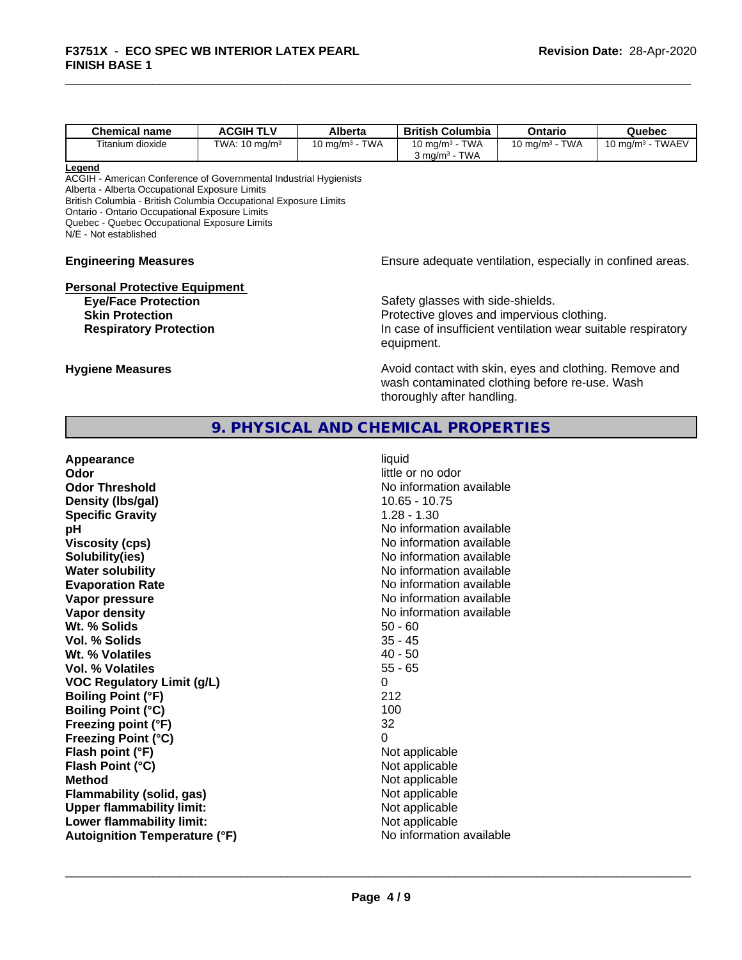| <b>TWAEV</b><br><b>TWA</b><br><b>TWA</b><br><b>TWA</b><br>Titanium dioxide<br>TWA: $10 \text{ ma/m}^3$<br>10 ma/m $^3\,$<br>10 ma/m $3$<br>10 mg/m <sup>3</sup> -<br>∣0 mɑ/mª | <b>Chemical name</b> | <b>ACGIH TLV</b> | <b>Alberta</b> | <b>British Columbia</b>           | Ontario | Quebec |
|-------------------------------------------------------------------------------------------------------------------------------------------------------------------------------|----------------------|------------------|----------------|-----------------------------------|---------|--------|
|                                                                                                                                                                               |                      |                  |                |                                   |         |        |
|                                                                                                                                                                               |                      |                  |                | <b>TWA</b><br>კ mg/m <sup>3</sup> |         |        |

#### **Legend**

ACGIH - American Conference of Governmental Industrial Hygienists Alberta - Alberta Occupational Exposure Limits British Columbia - British Columbia Occupational Exposure Limits Ontario - Ontario Occupational Exposure Limits Quebec - Quebec Occupational Exposure Limits N/E - Not established

# **Personal Protective Equipment**<br> **Eye/Face Protection**

**Engineering Measures Ensure** Ensure adequate ventilation, especially in confined areas.

**Eye/Face Protection**<br> **Safety glasses with side-shields.**<br> **Skin Protection**<br> **Safety glasses with side-shields.** Protective gloves and impervious clothing. **Respiratory Protection In case of insufficient ventilation wear suitable respiratory** equipment.

**Hygiene Measures Avoid contact with skin, eyes and clothing. Remove and Avoid contact with skin, eyes and clothing. Remove and** wash contaminated clothing before re-use. Wash thoroughly after handling.

#### **9. PHYSICAL AND CHEMICAL PROPERTIES**

| Appearance                           | liquid                   |
|--------------------------------------|--------------------------|
| Odor                                 | little or no odor        |
| <b>Odor Threshold</b>                | No information available |
| Density (Ibs/gal)                    | $10.65 - 10.75$          |
| <b>Specific Gravity</b>              | $1.28 - 1.30$            |
| рH                                   | No information available |
| <b>Viscosity (cps)</b>               | No information available |
| Solubility(ies)                      | No information available |
| <b>Water solubility</b>              | No information available |
| <b>Evaporation Rate</b>              | No information available |
| Vapor pressure                       | No information available |
| Vapor density                        | No information available |
| Wt. % Solids                         | $50 - 60$                |
| Vol. % Solids                        | $35 - 45$                |
| Wt. % Volatiles                      | $40 - 50$                |
| Vol. % Volatiles                     | $55 - 65$                |
| <b>VOC Regulatory Limit (g/L)</b>    | 0                        |
| <b>Boiling Point (°F)</b>            | 212                      |
| <b>Boiling Point (°C)</b>            | 100                      |
| Freezing point (°F)                  | 32                       |
| <b>Freezing Point (°C)</b>           | $\Omega$                 |
| Flash point (°F)                     | Not applicable           |
| Flash Point (°C)                     | Not applicable           |
| <b>Method</b>                        | Not applicable           |
| Flammability (solid, gas)            | Not applicable           |
| <b>Upper flammability limit:</b>     | Not applicable           |
| Lower flammability limit:            | Not applicable           |
| <b>Autoignition Temperature (°F)</b> | No information available |
|                                      |                          |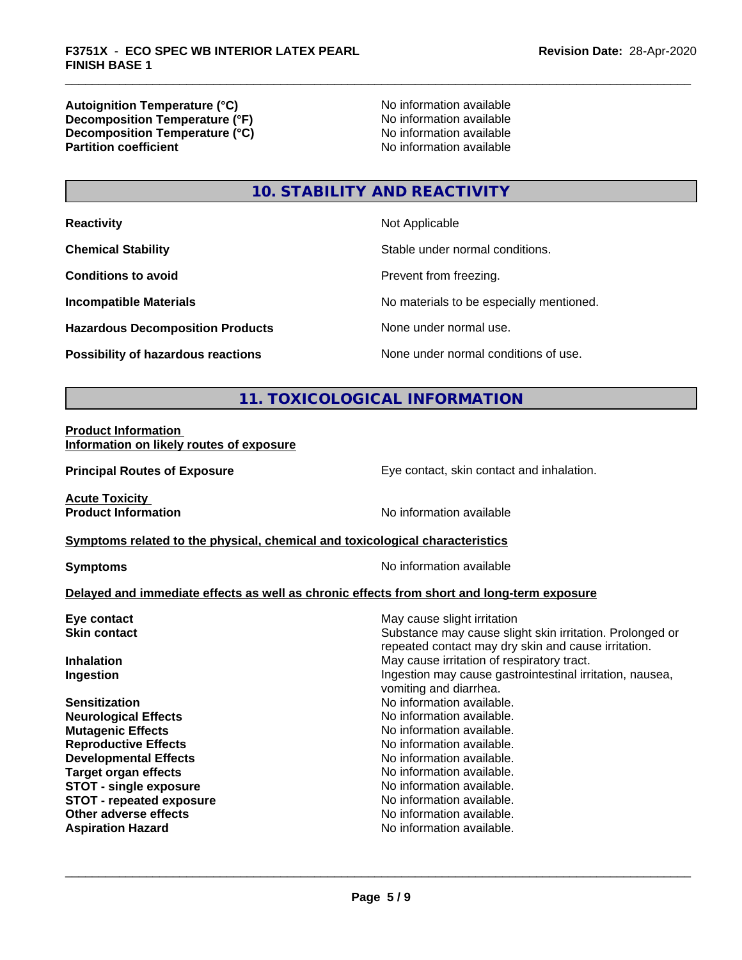**Autoignition Temperature (°C)**<br> **Decomposition Temperature (°F)** No information available **Decomposition Temperature (°F)**<br> **Decomposition Temperature (°C)**<br>
No information available **Decomposition Temperature (°C) Partition coefficient** 

## **10. STABILITY AND REACTIVITY**

| <b>Reactivity</b>                       | Not Applicable                           |
|-----------------------------------------|------------------------------------------|
| <b>Chemical Stability</b>               | Stable under normal conditions.          |
| <b>Conditions to avoid</b>              | Prevent from freezing.                   |
| <b>Incompatible Materials</b>           | No materials to be especially mentioned. |
| <b>Hazardous Decomposition Products</b> | None under normal use.                   |
| Possibility of hazardous reactions      | None under normal conditions of use.     |

### **11. TOXICOLOGICAL INFORMATION**

#### **Product Information Information on likely routes of exposure**

**Principal Routes of Exposure Exposure** Eye contact, skin contact and inhalation.

**Acute Toxicity** 

**Product Information** No information available

#### **Symptoms** related to the physical, chemical and toxicological characteristics

**Symptoms** No information available

#### **Delayed and immediate effects as well as chronic effects from short and long-term exposure**

| Eye contact                     | May cause slight irritation                                                                                     |
|---------------------------------|-----------------------------------------------------------------------------------------------------------------|
| <b>Skin contact</b>             | Substance may cause slight skin irritation. Prolonged or<br>repeated contact may dry skin and cause irritation. |
| <b>Inhalation</b>               | May cause irritation of respiratory tract.                                                                      |
| Ingestion                       | Ingestion may cause gastrointestinal irritation, nausea,<br>vomiting and diarrhea.                              |
| <b>Sensitization</b>            | No information available.                                                                                       |
| <b>Neurological Effects</b>     | No information available.                                                                                       |
| <b>Mutagenic Effects</b>        | No information available.                                                                                       |
| <b>Reproductive Effects</b>     | No information available.                                                                                       |
| <b>Developmental Effects</b>    | No information available.                                                                                       |
| <b>Target organ effects</b>     | No information available.                                                                                       |
| <b>STOT - single exposure</b>   | No information available.                                                                                       |
| <b>STOT - repeated exposure</b> | No information available.                                                                                       |
| Other adverse effects           | No information available.                                                                                       |
| <b>Aspiration Hazard</b>        | No information available.                                                                                       |
|                                 |                                                                                                                 |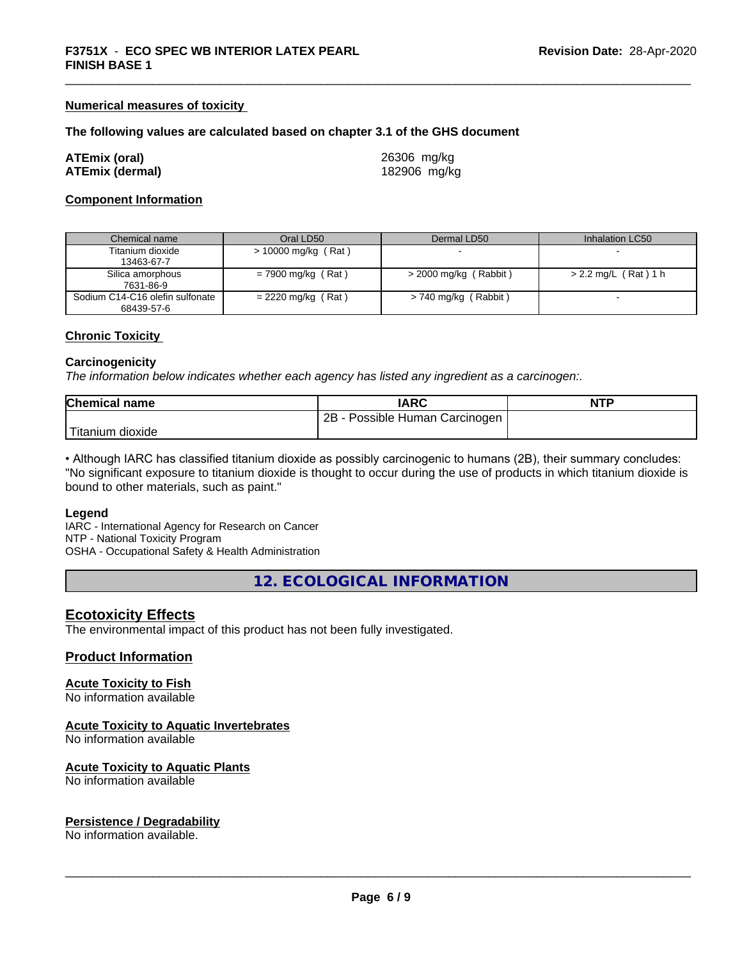#### **Numerical measures of toxicity**

#### **The following values are calculated based on chapter 3.1 of the GHS document**

| ATEmix (oral)   | 26306 mg/kg  |
|-----------------|--------------|
| ATEmix (dermal) | 182906 mg/kg |

#### **Component Information**

| Chemical name                                 | Oral LD50            | Dermal LD50              | Inhalation LC50        |
|-----------------------------------------------|----------------------|--------------------------|------------------------|
| Titanium dioxide<br>13463-67-7                | > 10000 mg/kg (Rat)  |                          |                        |
| Silica amorphous<br>7631-86-9                 | $= 7900$ mg/kg (Rat) | $>$ 2000 mg/kg (Rabbit)  | $> 2.2$ mg/L (Rat) 1 h |
| Sodium C14-C16 olefin sulfonate<br>68439-57-6 | $= 2220$ mg/kg (Rat) | Rabbit)<br>> 740 mg/kg ( |                        |

#### **Chronic Toxicity**

#### **Carcinogenicity**

*The information below indicateswhether each agency has listed any ingredient as a carcinogen:.*

| <b>Chemical name</b>    | <b>IARC</b>                                       | <b>NTP</b> |
|-------------------------|---------------------------------------------------|------------|
|                         | 2B<br>Possible <b>P</b><br>Human '<br>∟Carcinogen |            |
| $'$ Titanium<br>dioxide |                                                   |            |

• Although IARC has classified titanium dioxide as possibly carcinogenic to humans (2B), their summary concludes: "No significant exposure to titanium dioxide is thought to occur during the use of products in which titanium dioxide is bound to other materials, such as paint."

#### **Legend**

IARC - International Agency for Research on Cancer NTP - National Toxicity Program OSHA - Occupational Safety & Health Administration

**12. ECOLOGICAL INFORMATION**

#### **Ecotoxicity Effects**

The environmental impact of this product has not been fully investigated.

#### **Product Information**

#### **Acute Toxicity to Fish**

No information available

#### **Acute Toxicity to Aquatic Invertebrates**

No information available

#### **Acute Toxicity to Aquatic Plants**

No information available

#### **Persistence / Degradability**

No information available.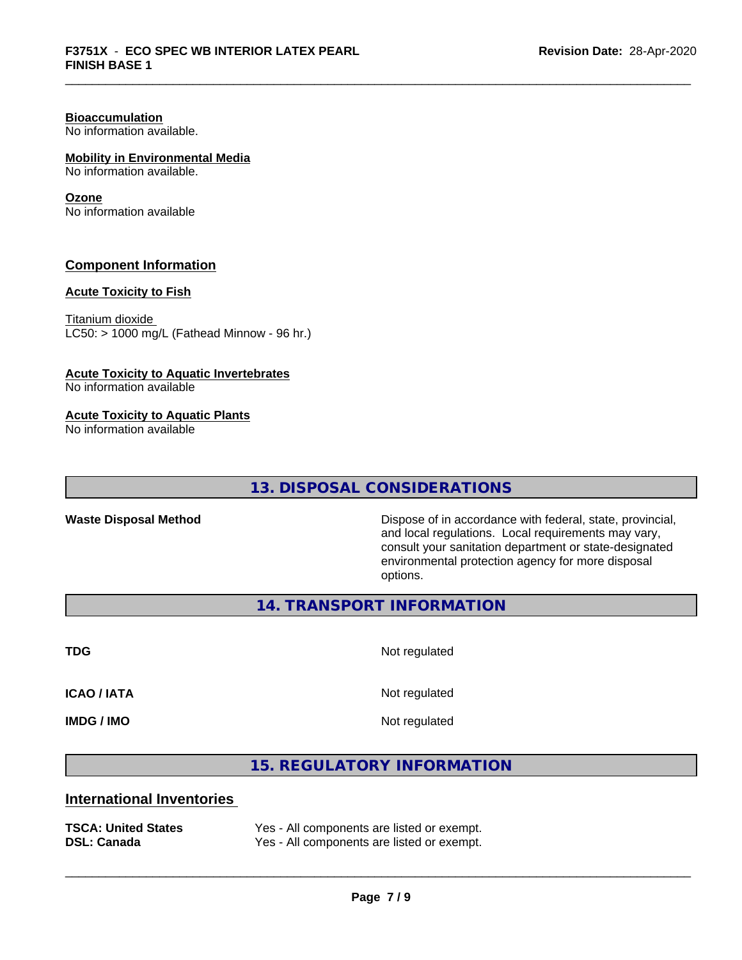## **Bioaccumulation**

No information available.

#### **Mobility in Environmental Media**

No information available.

#### **Ozone**

No information available

#### **Component Information**

#### **Acute Toxicity to Fish**

Titanium dioxide  $LC50:$  > 1000 mg/L (Fathead Minnow - 96 hr.)

#### **Acute Toxicity to Aquatic Invertebrates**

No information available

#### **Acute Toxicity to Aquatic Plants**

No information available

#### **13. DISPOSAL CONSIDERATIONS**

**Waste Disposal Method** Dispose of in accordance with federal, state, provincial, and local regulations. Local requirements may vary, consult your sanitation department or state-designated environmental protection agency for more disposal options.

**14. TRANSPORT INFORMATION**

**TDG** Not regulated

**ICAO / IATA** Not regulated

**IMDG / IMO** Not regulated

 $\overline{\phantom{a}}$  ,  $\overline{\phantom{a}}$  ,  $\overline{\phantom{a}}$  ,  $\overline{\phantom{a}}$  ,  $\overline{\phantom{a}}$  ,  $\overline{\phantom{a}}$  ,  $\overline{\phantom{a}}$  ,  $\overline{\phantom{a}}$  ,  $\overline{\phantom{a}}$  ,  $\overline{\phantom{a}}$  ,  $\overline{\phantom{a}}$  ,  $\overline{\phantom{a}}$  ,  $\overline{\phantom{a}}$  ,  $\overline{\phantom{a}}$  ,  $\overline{\phantom{a}}$  ,  $\overline{\phantom{a}}$ 

**15. REGULATORY INFORMATION**

#### **International Inventories**

| <b>TSCA: United States</b> | Yes - All components are listed or exempt. |
|----------------------------|--------------------------------------------|
| <b>DSL: Canada</b>         | Yes - All components are listed or exempt. |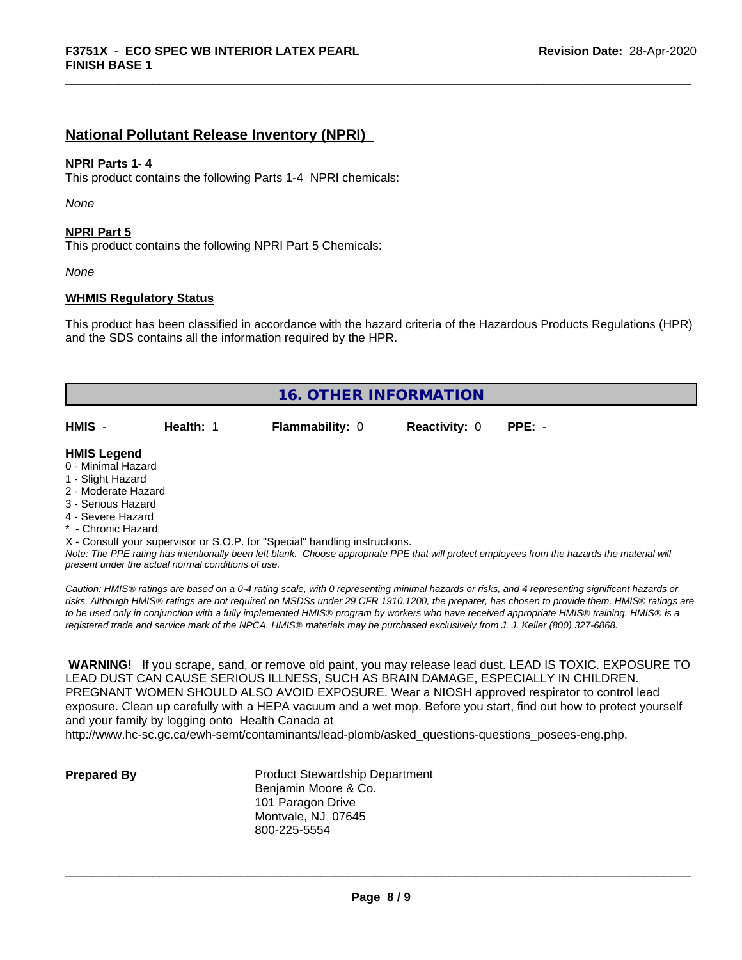#### **National Pollutant Release Inventory (NPRI)**

#### **NPRI Parts 1- 4**

This product contains the following Parts 1-4 NPRI chemicals:

*None*

#### **NPRI Part 5**

This product contains the following NPRI Part 5 Chemicals:

*None*

#### **WHMIS Regulatory Status**

This product has been classified in accordance with the hazard criteria of the Hazardous Products Regulations (HPR) and the SDS contains all the information required by the HPR.

|                     |           | <b>16. OTHER INFORMATION</b>                                               |                      |          |  |  |
|---------------------|-----------|----------------------------------------------------------------------------|----------------------|----------|--|--|
|                     |           |                                                                            |                      |          |  |  |
| HMIS -              | Health: 1 | <b>Flammability: 0</b>                                                     | <b>Reactivity: 0</b> | $PPE: -$ |  |  |
|                     |           |                                                                            |                      |          |  |  |
| <b>HMIS Legend</b>  |           |                                                                            |                      |          |  |  |
| 0 - Minimal Hazard  |           |                                                                            |                      |          |  |  |
| 1 - Slight Hazard   |           |                                                                            |                      |          |  |  |
| 2 - Moderate Hazard |           |                                                                            |                      |          |  |  |
| 3 - Serious Hazard  |           |                                                                            |                      |          |  |  |
| 4 - Severe Hazard   |           |                                                                            |                      |          |  |  |
| * - Chronic Hazard  |           |                                                                            |                      |          |  |  |
|                     |           | X - Consult your supervisor or S.O.P. for "Special" handling instructions. |                      |          |  |  |

*Note: The PPE rating has intentionally been left blank. Choose appropriate PPE that will protect employees from the hazards the material will present under the actual normal conditions of use.*

*Caution: HMISÒ ratings are based on a 0-4 rating scale, with 0 representing minimal hazards or risks, and 4 representing significant hazards or risks. Although HMISÒ ratings are not required on MSDSs under 29 CFR 1910.1200, the preparer, has chosen to provide them. HMISÒ ratings are to be used only in conjunction with a fully implemented HMISÒ program by workers who have received appropriate HMISÒ training. HMISÒ is a registered trade and service mark of the NPCA. HMISÒ materials may be purchased exclusively from J. J. Keller (800) 327-6868.*

 **WARNING!** If you scrape, sand, or remove old paint, you may release lead dust. LEAD IS TOXIC. EXPOSURE TO LEAD DUST CAN CAUSE SERIOUS ILLNESS, SUCH AS BRAIN DAMAGE, ESPECIALLY IN CHILDREN. PREGNANT WOMEN SHOULD ALSO AVOID EXPOSURE.Wear a NIOSH approved respirator to control lead exposure. Clean up carefully with a HEPA vacuum and a wet mop. Before you start, find out how to protect yourself and your family by logging onto Health Canada at

http://www.hc-sc.gc.ca/ewh-semt/contaminants/lead-plomb/asked\_questions-questions\_posees-eng.php.

**Prepared By** Product Stewardship Department Benjamin Moore & Co. 101 Paragon Drive Montvale, NJ 07645 800-225-5554